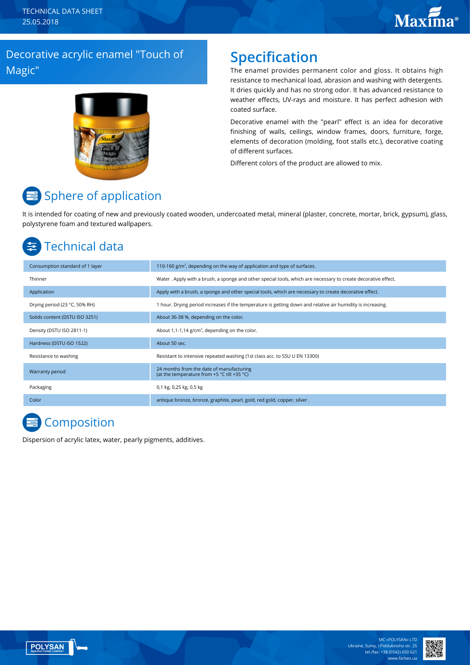### Decorative acrylic enamel "Touch of Magic"



### **Specification**

The enamel provides permanent color and gloss. It obtains high resistance to mechanical load, abrasion and washing with detergents. It dries quickly and has no strong odor. It has advanced resistance to weather effects, UV-rays and moisture. It has perfect adhesion with coated surface.

Decorative enamel with the "pearl" effect is an idea for decorative finishing of walls, ceilings, window frames, doors, furniture, forge, elements of decoration (molding, foot stalls etc.), decorative coating of different surfaces.

Different colors of the product are allowed to mix.

# Sphere of application

It is intended for coating of new and previously coated wooden, undercoated metal, mineral (plaster, concrete, mortar, brick, gypsum), glass, polystyrene foam and textured wallpapers.

## Technical data

| Consumption standard of 1 layer | 110-160 $g/m2$ , depending on the way of application and type of surfaces.                                     |
|---------------------------------|----------------------------------------------------------------------------------------------------------------|
| Thinner                         | Water . Apply with a brush, a sponge and other special tools, which are necessary to create decorative effect. |
| Application                     | Apply with a brush, a sponge and other special tools, which are necessary to create decorative effect.         |
| Drying period (23 °C, 50% RH)   | 1 hour. Drying period increases if the temperature is getting down and relative air humidity is increasing.    |
| Solids content (DSTU ISO 3251)  | About 36-38 %, depending on the color.                                                                         |
| Density (DSTU ISO 2811-1)       | About 1,1-1,14 $g/cm^3$ , depending on the color.                                                              |
| Hardness (DSTU ISO 1522)        | About 50 sec.                                                                                                  |
| Resistance to washing           | Resistant to intensive repeated washing (1st class acc. to SSU U EN 13300)                                     |
| Warranty period                 | 24 months from the date of manufacturing<br>(at the temperature from +5 °C till +35 °C)                        |
| Packaging                       | 0,1 kg, 0,25 kg, 0,5 kg                                                                                        |
| Color                           | antique bronze, bronze, graphite, pearl, gold, red gold, copper, silver.                                       |

## **Composition**

Dispersion of acrylic latex, water, pearly pigments, additives.